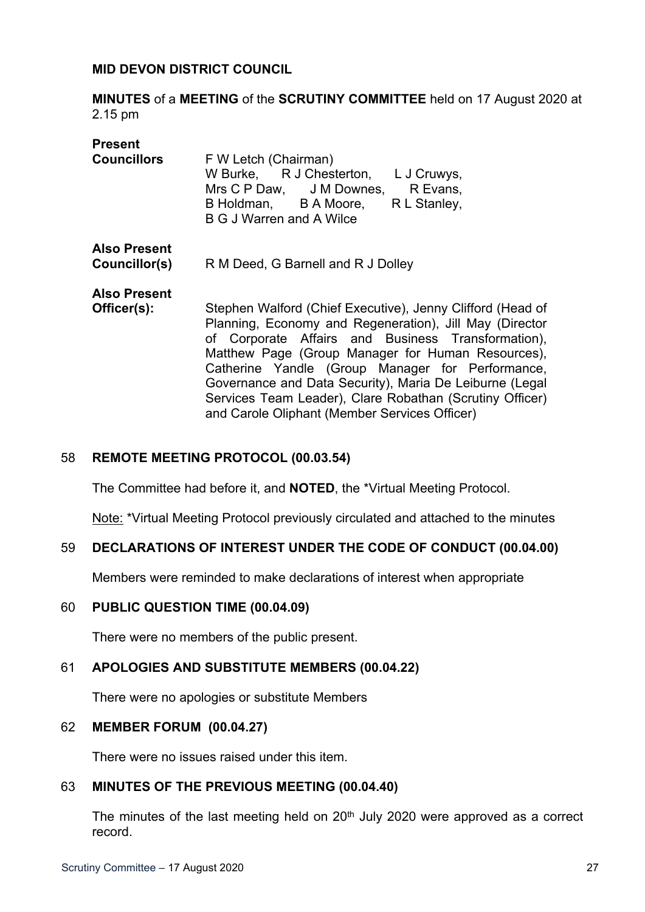### **MID DEVON DISTRICT COUNCIL**

**MINUTES** of a **MEETING** of the **SCRUTINY COMMITTEE** held on 17 August 2020 at 2.15 pm

| <b>Present</b><br><b>Councillors</b> | F W Letch (Chairman)<br>W Burke, R J Chesterton, L J Cruwys,<br>Mrs C P Daw, J M Downes, R Evans,<br>B Holdman, B A Moore, R L Stanley,<br><b>B G J Warren and A Wilce</b>                                                                                                                                                                                                                                                                                   |
|--------------------------------------|--------------------------------------------------------------------------------------------------------------------------------------------------------------------------------------------------------------------------------------------------------------------------------------------------------------------------------------------------------------------------------------------------------------------------------------------------------------|
| <b>Also Present</b><br>Councillor(s) | R M Deed, G Barnell and R J Dolley                                                                                                                                                                                                                                                                                                                                                                                                                           |
| <b>Also Present</b><br>Officer(s):   | Stephen Walford (Chief Executive), Jenny Clifford (Head of<br>Planning, Economy and Regeneration), Jill May (Director<br>of Corporate Affairs and Business Transformation),<br>Matthew Page (Group Manager for Human Resources),<br>Catherine Yandle (Group Manager for Performance,<br>Governance and Data Security), Maria De Leiburne (Legal<br>Services Team Leader), Clare Robathan (Scrutiny Officer)<br>and Carole Oliphant (Member Services Officer) |

## 58 **REMOTE MEETING PROTOCOL (00.03.54)**

The Committee had before it, and **NOTED**, the \*Virtual Meeting Protocol.

Note: \*Virtual Meeting Protocol previously circulated and attached to the minutes

#### 59 **DECLARATIONS OF INTEREST UNDER THE CODE OF CONDUCT (00.04.00)**

Members were reminded to make declarations of interest when appropriate

#### 60 **PUBLIC QUESTION TIME (00.04.09)**

There were no members of the public present.

### 61 **APOLOGIES AND SUBSTITUTE MEMBERS (00.04.22)**

There were no apologies or substitute Members

#### 62 **MEMBER FORUM (00.04.27)**

There were no issues raised under this item.

#### 63 **MINUTES OF THE PREVIOUS MEETING (00.04.40)**

The minutes of the last meeting held on  $20<sup>th</sup>$  July 2020 were approved as a correct record.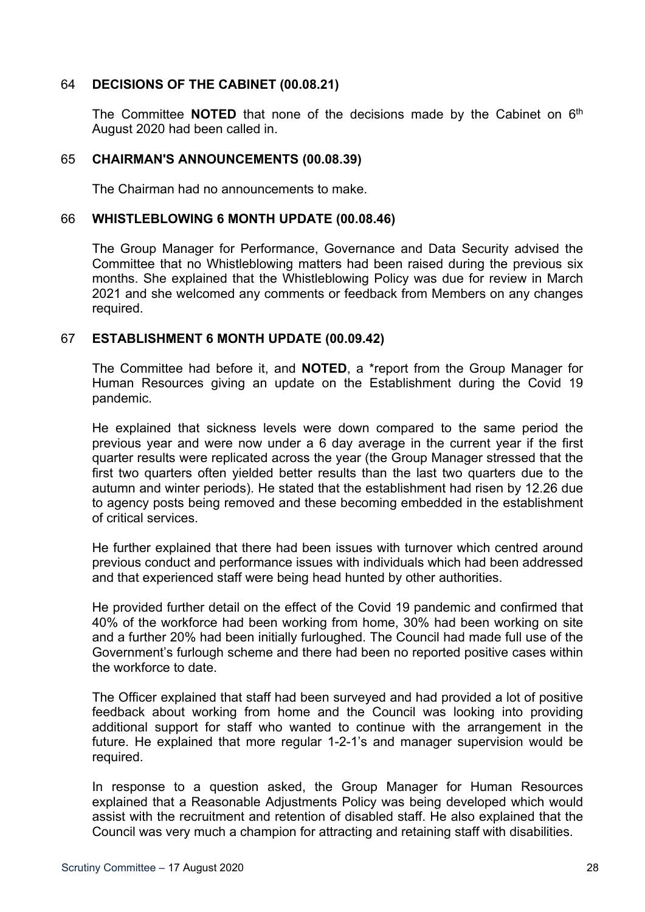## 64 **DECISIONS OF THE CABINET (00.08.21)**

The Committee **NOTED** that none of the decisions made by the Cabinet on 6<sup>th</sup> August 2020 had been called in.

### 65 **CHAIRMAN'S ANNOUNCEMENTS (00.08.39)**

The Chairman had no announcements to make.

### 66 **WHISTLEBLOWING 6 MONTH UPDATE (00.08.46)**

The Group Manager for Performance, Governance and Data Security advised the Committee that no Whistleblowing matters had been raised during the previous six months. She explained that the Whistleblowing Policy was due for review in March 2021 and she welcomed any comments or feedback from Members on any changes required.

### 67 **ESTABLISHMENT 6 MONTH UPDATE (00.09.42)**

The Committee had before it, and **NOTED**, a \*report from the Group Manager for Human Resources giving an update on the Establishment during the Covid 19 pandemic.

He explained that sickness levels were down compared to the same period the previous year and were now under a 6 day average in the current year if the first quarter results were replicated across the year (the Group Manager stressed that the first two quarters often yielded better results than the last two quarters due to the autumn and winter periods). He stated that the establishment had risen by 12.26 due to agency posts being removed and these becoming embedded in the establishment of critical services.

He further explained that there had been issues with turnover which centred around previous conduct and performance issues with individuals which had been addressed and that experienced staff were being head hunted by other authorities.

He provided further detail on the effect of the Covid 19 pandemic and confirmed that 40% of the workforce had been working from home, 30% had been working on site and a further 20% had been initially furloughed. The Council had made full use of the Government's furlough scheme and there had been no reported positive cases within the workforce to date.

The Officer explained that staff had been surveyed and had provided a lot of positive feedback about working from home and the Council was looking into providing additional support for staff who wanted to continue with the arrangement in the future. He explained that more regular 1-2-1's and manager supervision would be required.

In response to a question asked, the Group Manager for Human Resources explained that a Reasonable Adjustments Policy was being developed which would assist with the recruitment and retention of disabled staff. He also explained that the Council was very much a champion for attracting and retaining staff with disabilities.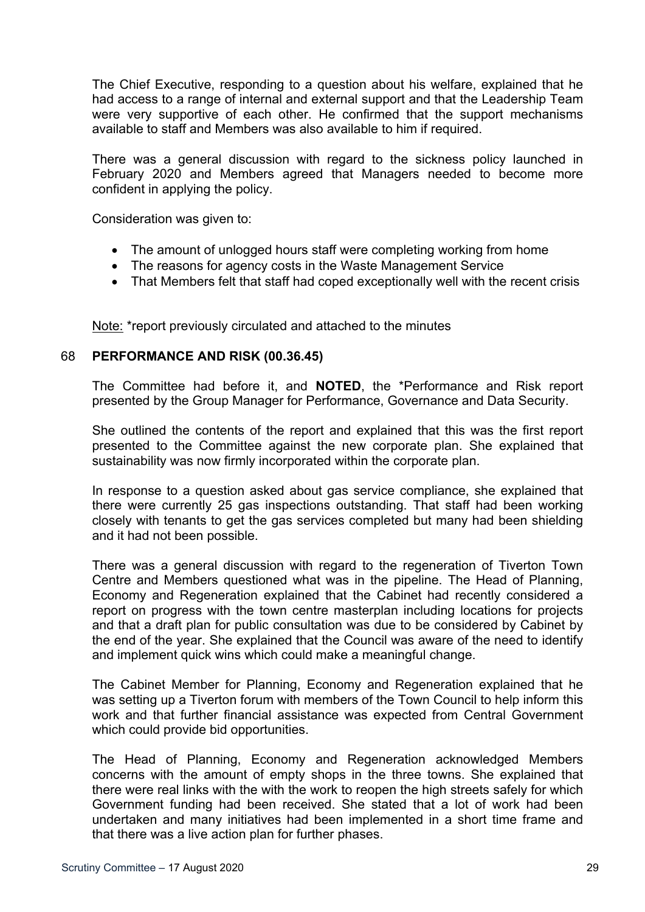The Chief Executive, responding to a question about his welfare, explained that he had access to a range of internal and external support and that the Leadership Team were very supportive of each other. He confirmed that the support mechanisms available to staff and Members was also available to him if required.

There was a general discussion with regard to the sickness policy launched in February 2020 and Members agreed that Managers needed to become more confident in applying the policy.

Consideration was given to:

- The amount of unlogged hours staff were completing working from home
- The reasons for agency costs in the Waste Management Service
- That Members felt that staff had coped exceptionally well with the recent crisis

Note: \*report previously circulated and attached to the minutes

## 68 **PERFORMANCE AND RISK (00.36.45)**

The Committee had before it, and **NOTED**, the \*Performance and Risk report presented by the Group Manager for Performance, Governance and Data Security.

She outlined the contents of the report and explained that this was the first report presented to the Committee against the new corporate plan. She explained that sustainability was now firmly incorporated within the corporate plan.

In response to a question asked about gas service compliance, she explained that there were currently 25 gas inspections outstanding. That staff had been working closely with tenants to get the gas services completed but many had been shielding and it had not been possible.

There was a general discussion with regard to the regeneration of Tiverton Town Centre and Members questioned what was in the pipeline. The Head of Planning, Economy and Regeneration explained that the Cabinet had recently considered a report on progress with the town centre masterplan including locations for projects and that a draft plan for public consultation was due to be considered by Cabinet by the end of the year. She explained that the Council was aware of the need to identify and implement quick wins which could make a meaningful change.

The Cabinet Member for Planning, Economy and Regeneration explained that he was setting up a Tiverton forum with members of the Town Council to help inform this work and that further financial assistance was expected from Central Government which could provide bid opportunities.

The Head of Planning, Economy and Regeneration acknowledged Members concerns with the amount of empty shops in the three towns. She explained that there were real links with the with the work to reopen the high streets safely for which Government funding had been received. She stated that a lot of work had been undertaken and many initiatives had been implemented in a short time frame and that there was a live action plan for further phases.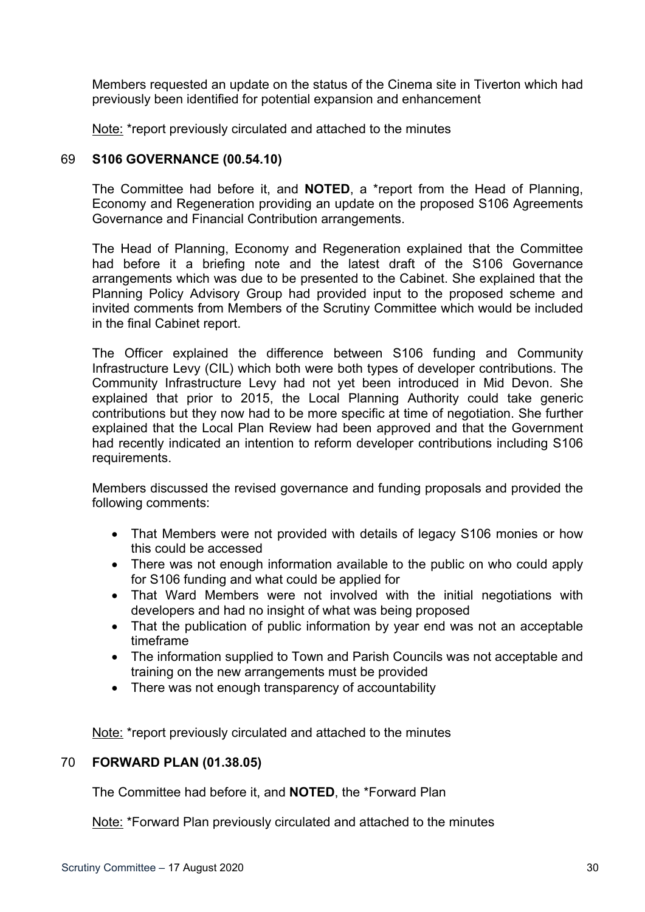Members requested an update on the status of the Cinema site in Tiverton which had previously been identified for potential expansion and enhancement

Note: \*report previously circulated and attached to the minutes

## 69 **S106 GOVERNANCE (00.54.10)**

The Committee had before it, and **NOTED**, a \*report from the Head of Planning, Economy and Regeneration providing an update on the proposed S106 Agreements Governance and Financial Contribution arrangements.

The Head of Planning, Economy and Regeneration explained that the Committee had before it a briefing note and the latest draft of the S106 Governance arrangements which was due to be presented to the Cabinet. She explained that the Planning Policy Advisory Group had provided input to the proposed scheme and invited comments from Members of the Scrutiny Committee which would be included in the final Cabinet report.

The Officer explained the difference between S106 funding and Community Infrastructure Levy (CIL) which both were both types of developer contributions. The Community Infrastructure Levy had not yet been introduced in Mid Devon. She explained that prior to 2015, the Local Planning Authority could take generic contributions but they now had to be more specific at time of negotiation. She further explained that the Local Plan Review had been approved and that the Government had recently indicated an intention to reform developer contributions including S106 requirements.

Members discussed the revised governance and funding proposals and provided the following comments:

- That Members were not provided with details of legacy S106 monies or how this could be accessed
- There was not enough information available to the public on who could apply for S106 funding and what could be applied for
- That Ward Members were not involved with the initial negotiations with developers and had no insight of what was being proposed
- That the publication of public information by year end was not an acceptable timeframe
- The information supplied to Town and Parish Councils was not acceptable and training on the new arrangements must be provided
- There was not enough transparency of accountability

Note: \*report previously circulated and attached to the minutes

# 70 **FORWARD PLAN (01.38.05)**

The Committee had before it, and **NOTED**, the \*Forward Plan

Note: \*Forward Plan previously circulated and attached to the minutes